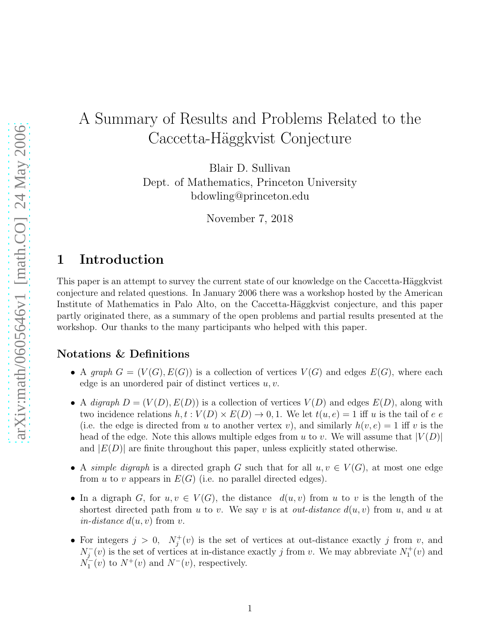# A Summary of Results and Problems Related to the Caccetta-Häggkvist Conjecture

Blair D. Sullivan

Dept. of Mathematics, Princeton University bdowling@princeton.edu

November 7, 2018

## 1 Introduction

This paper is an attempt to survey the current state of our knowledge on the Caccetta-Häggkvist conjecture and related questions. In January 2006 there was a workshop hosted by the American Institute of Mathematics in Palo Alto, on the Caccetta-Häggkvist conjecture, and this paper partly originated there, as a summary of the open problems and partial results presented at the workshop. Our thanks to the many participants who helped with this paper.

### Notations & Definitions

- A *graph*  $G = (V(G), E(G))$  is a collection of vertices  $V(G)$  and edges  $E(G)$ , where each edge is an unordered pair of distinct vertices  $u, v$ .
- A *digraph*  $D = (V(D), E(D))$  is a collection of vertices  $V(D)$  and edges  $E(D)$ , along with two incidence relations  $h, t : V(D) \times E(D) \to 0, 1$ . We let  $t(u, e) = 1$  iff u is the tail of e e (i.e. the edge is directed from u to another vertex v), and similarly  $h(v, e) = 1$  iff v is the head of the edge. Note this allows multiple edges from u to v. We will assume that  $|V(D)|$ and  $|E(D)|$  are finite throughout this paper, unless explicitly stated otherwise.
- A *simple digraph* is a directed graph G such that for all  $u, v \in V(G)$ , at most one edge from u to v appears in  $E(G)$  (i.e. no parallel directed edges).
- In a digraph G, for  $u, v \in V(G)$ , the distance  $d(u, v)$  from u to v is the length of the shortest directed path from u to v. We say v is at *out-distance*  $d(u, v)$  from u, and u at *in-distance*  $d(u, v)$  from v.
- For integers  $j > 0, N_j^+$  $j^+(v)$  is the set of vertices at out-distance exactly j from v, and  $N_j^-(v)$  is the set of vertices at in-distance exactly j from v. We may abbreviate  $N_1^+(v)$  and  $N_1^-(v)$  to  $N^+(v)$  and  $N^-(v)$ , respectively.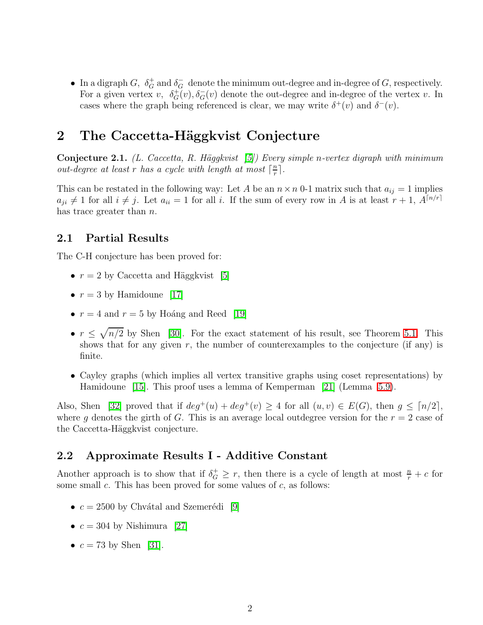• In a digraph G,  $\delta_G^+$  and  $\delta_G^-$  denote the minimum out-degree and in-degree of G, respectively. For a given vertex v,  $\delta_G^+(v)$ ,  $\delta_G^-(v)$  denote the out-degree and in-degree of the vertex v. In cases where the graph being referenced is clear, we may write  $\delta^+(v)$  and  $\delta^-(v)$ .

## <span id="page-1-0"></span>2 The Caccetta-Häggkvist Conjecture

Conjecture 2.1. *(L. Caccetta, R. H¨aggkvist [\[5\]](#page-11-0)) Every simple* n*-vertex digraph with minimum out-degree at least*  $r$  *has a cycle with length at most*  $\lceil \frac{n}{r} \rceil$  $\frac{n}{r}$ .

This can be restated in the following way: Let A be an  $n \times n$  0-1 matrix such that  $a_{ij} = 1$  implies  $a_{ji} \neq 1$  for all  $i \neq j$ . Let  $a_{ii} = 1$  for all i. If the sum of every row in A is at least  $r + 1$ ,  $A^{\lceil n/r \rceil}$ has trace greater than *n*.

## 2.1 Partial Results

The C-H conjecture has been proved for:

- $r = 2$  by Caccetta and Häggkvist [\[5\]](#page-11-0)
- $r = 3$  by Hamidoune [\[17\]](#page-12-0)
- $r = 4$  and  $r = 5$  by Hoáng and Reed [\[19\]](#page-12-1)
- $r \leq \sqrt{n/2}$  by Shen [\[30\]](#page-13-0). For the exact statement of his result, see Theorem [5.1.](#page-3-0) This shows that for any given  $r$ , the number of counterexamples to the conjecture (if any) is finite.
- Cayley graphs (which implies all vertex transitive graphs using coset representations) by Hamidoune [\[15\]](#page-12-2). This proof uses a lemma of Kemperman [\[21\]](#page-12-3) (Lemma [5.9\)](#page-4-0).

Also, Shen [\[32\]](#page-13-1) proved that if  $deg^+(u) + deg^+(v) \geq 4$  for all  $(u, v) \in E(G)$ , then  $g \leq \lceil n/2 \rceil$ , where g denotes the girth of G. This is an average local outdegree version for the  $r = 2$  case of the Caccetta-Häggkvist conjecture.

## 2.2 Approximate Results I - Additive Constant

Another approach is to show that if  $\delta_G^+ \geq r$ , then there is a cycle of length at most  $\frac{n}{r} + c$  for some small c. This has been proved for some values of  $c$ , as follows:

- $c = 2500$  by Chvátal and Szemerédi [\[9\]](#page-12-4)
- $c = 304$  by Nishimura [\[27\]](#page-13-2)
- $c = 73$  by Shen [\[31\]](#page-13-3).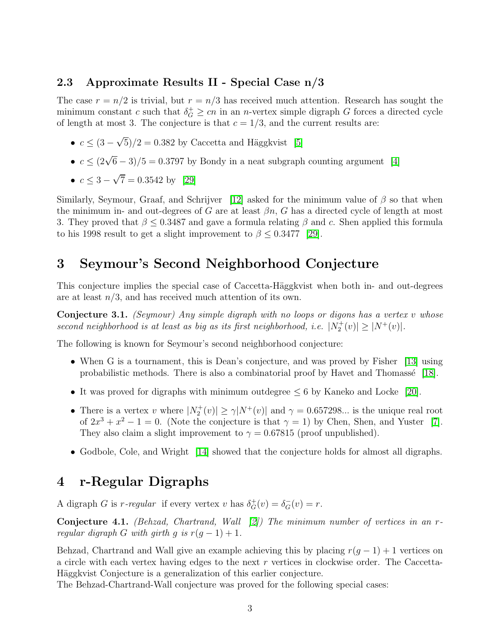### 2.3 Approximate Results II - Special Case n/3

The case  $r = n/2$  is trivial, but  $r = n/3$  has received much attention. Research has sought the minimum constant c such that  $\delta_G^+ \geq cn$  in an n-vertex simple digraph G forces a directed cycle of length at most 3. The conjecture is that  $c = 1/3$ , and the current results are:

- $c \leq (3 \sqrt{5})/2 = 0.382$  by Caccetta and Häggkvist [\[5\]](#page-11-0)
- $c \leq (2\sqrt{6}-3)/5 = 0.3797$  by Bondy in a neat subgraph counting argument [\[4\]](#page-11-1)
- $c \leq 3 \sqrt{7} = 0.3542$  by [\[29\]](#page-13-4)

Similarly, Seymour, Graaf, and Schrijver [\[12\]](#page-12-5) asked for the minimum value of  $\beta$  so that when the minimum in- and out-degrees of G are at least  $\beta n$ , G has a directed cycle of length at most 3. They proved that  $\beta \leq 0.3487$  and gave a formula relating  $\beta$  and c. Shen applied this formula to his 1998 result to get a slight improvement to  $\beta \leq 0.3477$  [\[29\]](#page-13-4).

## 3 Seymour's Second Neighborhood Conjecture

This conjecture implies the special case of Caccetta-Häggkvist when both in- and out-degrees are at least  $n/3$ , and has received much attention of its own.

Conjecture 3.1. *(Seymour) Any simple digraph with no loops or digons has a vertex* v *whose second neighborhood is at least as big as its first neighborhood, i.e.*  $|N_2^+(v)| \ge |N^+(v)|$ .

The following is known for Seymour's second neighborhood conjecture:

- When G is a tournament, this is Dean's conjecture, and was proved by Fisher [\[13\]](#page-12-6) using probabilistic methods. There is also a combinatorial proof by Havet and Thomassé  $[18]$ .
- It was proved for digraphs with minimum outdegree  $\leq 6$  by Kaneko and Locke [\[20\]](#page-12-8).
- There is a vertex v where  $|N_2^+(v)| \ge \gamma |N^+(v)|$  and  $\gamma = 0.657298...$  is the unique real root of  $2x^3 + x^2 - 1 = 0$ . (Note the conjecture is that  $\gamma = 1$ ) by Chen, Shen, and Yuster [\[7\]](#page-12-9). They also claim a slight improvement to  $\gamma = 0.67815$  (proof unpublished).
- Godbole, Cole, and Wright [\[14\]](#page-12-10) showed that the conjecture holds for almost all digraphs.

## 4 r-Regular Digraphs

A digraph G is r-regular if every vertex v has  $\delta_G^+(v) = \delta_G^-(v) = r$ .

Conjecture 4.1. *(Behzad, Chartrand, Wall [\[2\]](#page-11-2)) The minimum number of vertices in an* r*regular digraph* G *with girth* g *is*  $r(g - 1) + 1$ *.* 

Behzad, Chartrand and Wall give an example achieving this by placing  $r(g - 1) + 1$  vertices on a circle with each vertex having edges to the next r vertices in clockwise order. The Caccetta-Häggkvist Conjecture is a generalization of this earlier conjecture.

The Behzad-Chartrand-Wall conjecture was proved for the following special cases: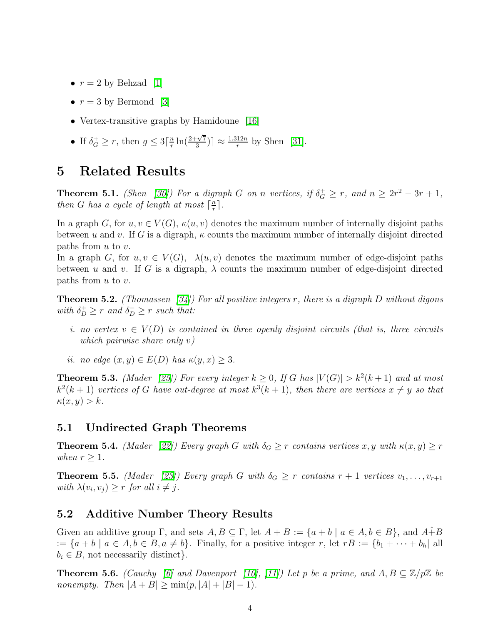- $r = 2$  by Behzad [\[1\]](#page-11-3)
- $r = 3$  by Bermond [\[3\]](#page-11-4)
- Vertex-transitive graphs by Hamidoune [\[16\]](#page-12-11)
- If  $\delta_G^+ \ge r$ , then  $g \le 3\lceil \frac nr \rceil$  $\frac{n}{r}\ln(\frac{2+\sqrt{7}}{3})$  $\left[\frac{\sqrt{7}}{3}\right] \approx \frac{1.312n}{r}$  by Shen [\[31\]](#page-13-3).

## <span id="page-3-0"></span>5 Related Results

**Theorem 5.1.** *(Shen* [\[30\]](#page-13-0)*)* For a digraph G on n vertices, if  $\delta_G^+ \geq r$ , and  $n \geq 2r^2 - 3r + 1$ , *then G has a cycle of length at most*  $\lceil \frac{n}{r} \rceil$  $\frac{n}{r}$ .

In a graph G, for  $u, v \in V(G)$ ,  $\kappa(u, v)$  denotes the maximum number of internally disjoint paths between u and v. If G is a digraph,  $\kappa$  counts the maximum number of internally disjoint directed paths from  $u$  to  $v$ .

In a graph G, for  $u, v \in V(G)$ ,  $\lambda(u, v)$  denotes the maximum number of edge-disjoint paths between u and v. If G is a digraph,  $\lambda$  counts the maximum number of edge-disjoint directed paths from  $u$  to  $v$ .

<span id="page-3-1"></span>Theorem 5.2. *(Thomassen [\[34\]](#page-13-5)) For all positive integers* r*, there is a digraph* D *without digons with*  $\delta_D^+ \ge r$  *and*  $\delta_D^- \ge r$  *such that:* 

- *i. no vertex*  $v \in V(D)$  *is contained in three openly disjoint circuits (that is, three circuits which pairwise share only* v*)*
- *ii. no edge*  $(x, y) \in E(D)$  *has*  $\kappa(y, x) \geq 3$ *.*

**Theorem 5.3.** *(Mader [\[25\]](#page-13-6))* For every integer  $k \geq 0$ , If G has  $|V(G)| > k^2(k+1)$  and at most  $k^2(k+1)$  *vertices of* G *have out-degree at most*  $k^3(k+1)$ *, then there are vertices*  $x \neq y$  *so that*  $\kappa(x, y) > k.$ 

## 5.1 Undirected Graph Theorems

**Theorem 5.4.** *(Mader [\[22\]](#page-12-12))* Every graph G with  $\delta_G \geq r$  contains vertices x, y with  $\kappa(x, y) \geq r$ *when*  $r \geq 1$ *.* 

**Theorem 5.5.** *(Mader [\[23\]](#page-12-13))* Every graph G with  $\delta_G \geq r$  contains  $r + 1$  vertices  $v_1, \ldots, v_{r+1}$ with  $\lambda(v_i, v_j) \geq r$  for all  $i \neq j$ .

### 5.2 Additive Number Theory Results

Given an additive group  $\Gamma$ , and sets  $A, B \subseteq \Gamma$ , let  $A + B := \{a + b \mid a \in A, b \in B\}$ , and  $A \hat{+} B$ :=  $\{a + b \mid a \in A, b \in B, a \neq b\}$ . Finally, for a positive integer r, let  $rB := \{b_1 + \cdots + b_h | \text{ all }$  $b_i \in B$ , not necessarily distinct.

**Theorem 5.6.** *(Cauchy* [\[6\]](#page-11-5) and Davenport [\[10\]](#page-12-14), [\[11\]](#page-12-15)) Let p be a prime, and  $A, B \subseteq \mathbb{Z}/p\mathbb{Z}$  be *nonempty.* Then  $|A + B| \ge \min(p, |A| + |B| - 1)$ .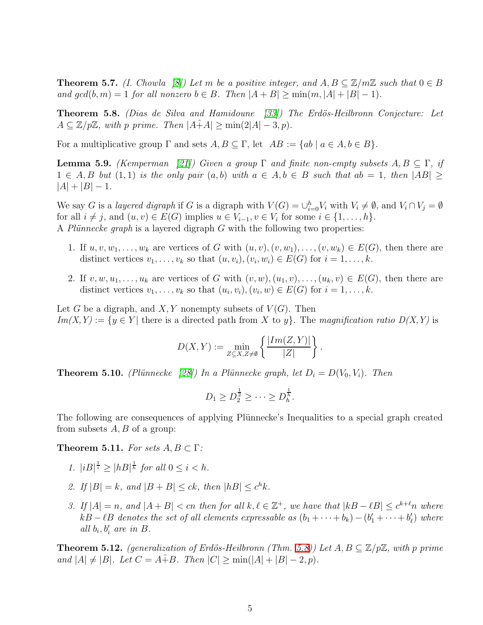**Theorem 5.7.** *(I. Chowla [\[8\]](#page-12-16))* Let m be a positive integer, and  $A, B \subseteq \mathbb{Z}/m\mathbb{Z}$  such that  $0 \in B$ *and*  $gcd(b, m) = 1$  *for all nonzero*  $b \in B$ *. Then*  $|A + B| \ge \min(m, |A| + |B| - 1)$ *.* 

<span id="page-4-1"></span>Theorem 5.8. *(Dias de Silva and Hamidoune [\[33\]](#page-13-7)) The Erd¨os-Heilbronn Conjecture: Let*  $A \subseteq \mathbb{Z}/p\mathbb{Z}$ , with p prime. Then  $|A+A| \ge \min(2|A|-3, p)$ .

<span id="page-4-0"></span>For a multiplicative group  $\Gamma$  and sets  $A, B \subseteq \Gamma$ , let  $AB := \{ab \mid a \in A, b \in B\}.$ 

**Lemma 5.9.** *(Kemperman* [\[21\]](#page-12-3)*)* Given a group  $\Gamma$  and finite non-empty subsets  $A, B \subseteq \Gamma$ , if  $1 \in A, B$  *but*  $(1,1)$  *is the only pair*  $(a, b)$  *with*  $a \in A, b \in B$  *such that*  $ab = 1$ *, then*  $|AB| \ge$  $|A| + |B| - 1$ .

We say G is a *layered digraph* if G is a digraph with  $V(G) = \bigcup_{i=0}^{h} V_i$  with  $V_i \neq \emptyset$ , and  $V_i \cap V_j = \emptyset$ for all  $i \neq j$ , and  $(u, v) \in E(G)$  implies  $u \in V_{i-1}, v \in V_i$  for some  $i \in \{1, ..., h\}$ . A *Plünnecke graph* is a layered digraph G with the following two properties:

- 1. If  $u, v, w_1, \ldots, w_k$  are vertices of G with  $(u, v), (v, w_1), \ldots, (v, w_k) \in E(G)$ , then there are distinct vertices  $v_1, \ldots, v_k$  so that  $(u, v_i), (v_i, w_i) \in E(G)$  for  $i = 1, \ldots, k$ .
- 2. If  $v, w, u_1, \ldots, u_k$  are vertices of G with  $(v, w), (u_1, v), \ldots, (u_k, v) \in E(G)$ , then there are distinct vertices  $v_1, \ldots, v_k$  so that  $(u_i, v_i), (v_i, w) \in E(G)$  for  $i = 1, \ldots, k$ .

Let G be a digraph, and  $X, Y$  nonempty subsets of  $V(G)$ . Then  $Im(X, Y) := \{y \in Y |$  there is a directed path from X to y}. The *magnification ratio*  $D(X, Y)$  is

$$
D(X,Y) := \min_{Z \subseteq X, Z \neq \emptyset} \left\{ \frac{|Im(Z,Y)|}{|Z|} \right\}.
$$

**Theorem 5.10.** *(Plünnecke* [\[28\]](#page-13-8)*)* In a Plünnecke graph, let  $D_i = D(V_0, V_i)$ . Then

$$
D_1 \ge D_2^{\frac{1}{2}} \ge \cdots \ge D_h^{\frac{1}{h}}.
$$

The following are consequences of applying Plünnecke's Inequalities to a special graph created from subsets  $A, B$  of a group:

**Theorem 5.11.** *For sets*  $A, B \subset \Gamma$ *:* 

- *1.*  $|iB|^{\frac{1}{i}} \ge |hB|^{\frac{1}{h}}$  for all  $0 \le i < h$ .
- 2. If  $|B| = k$ , and  $|B + B| \le ck$ , then  $|hB| \le c^h k$ .
- *3.* If  $|A| = n$ , and  $|A + B| < cn$  then for all  $k, \ell \in \mathbb{Z}^+$ , we have that  $|kB \ell B| \leq c^{k+\ell} n$  where  $kB - \ell B$  denotes the set of all elements expressable as  $(b_1 + \cdots + b_k) - (b'_1 + \cdots + b'_\ell)$  where *all*  $b_i$ ,  $b'_i$  are in  $B$ .

**Theorem 5.12.** *(generalization of Erdös-Heilbronn (Thm.* [5.8\)](#page-4-1)) Let  $A, B \subseteq \mathbb{Z}/p\mathbb{Z}$ *, with* p prime *and*  $|A| \neq |B|$ *. Let*  $C = A + B$ *. Then*  $|C| \geq \min(|A| + |B| - 2, p)$ *.*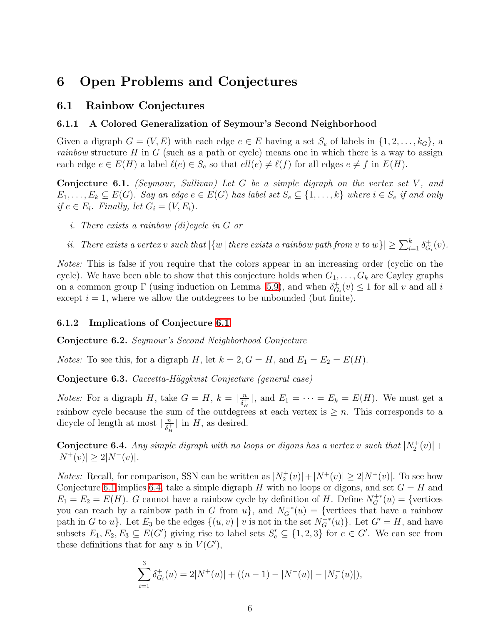## 6 Open Problems and Conjectures

#### 6.1 Rainbow Conjectures

#### 6.1.1 A Colored Generalization of Seymour's Second Neighborhood

Given a digraph  $G = (V, E)$  with each edge  $e \in E$  having a set  $S_e$  of labels in  $\{1, 2, \ldots, k_G\}$ , a *rainbow* structure H in G (such as a path or cycle) means one in which there is a way to assign each edge  $e \in E(H)$  a label  $\ell(e) \in S_e$  so that  $ell(e) \neq \ell(f)$  for all edges  $e \neq f$  in  $E(H)$ .

<span id="page-5-0"></span>Conjecture 6.1. *(Seymour, Sullivan)* Let G be a simple digraph on the vertex set V, and  $E_1, \ldots, E_k \subseteq E(G)$ . Say an edge  $e \in E(G)$  has label set  $S_e \subseteq \{1, \ldots, k\}$  where  $i \in S_e$  if and only *if*  $e \in E_i$ *. Finally, let*  $G_i = (V, E_i)$ *.* 

- *i. There exists a rainbow (di)cycle in* G *or*
- *ii.* There exists a vertex v such that  $|\{w \mid \text{there exists a rainbow path from } v \text{ to } w\}| \geq \sum_{i=1}^{k} \delta_G^+$  ${}_{G_i}^+(v)$ .

*Notes:* This is false if you require that the colors appear in an increasing order (cyclic on the cycle). We have been able to show that this conjecture holds when  $G_1, \ldots, G_k$  are Cayley graphs on a common group  $\Gamma$  (using induction on Lemma [5.9\)](#page-4-0), and when  $\delta_G^+$  $G_i^+(v) \leq 1$  for all v and all i except  $i = 1$ , where we allow the outdegrees to be unbounded (but finite).

#### 6.1.2 Implications of Conjecture [6.1](#page-5-0)

Conjecture 6.2. *Seymour's Second Neighborhood Conjecture*

*Notes:* To see this, for a digraph H, let  $k = 2$ ,  $G = H$ , and  $E_1 = E_2 = E(H)$ .

Conjecture 6.3. *Caccetta-H¨aggkvist Conjecture (general case)*

*Notes:* For a digraph H, take  $G = H$ ,  $k = \lceil \frac{n}{\delta_t^2} \rceil$  $\frac{n}{\delta_H^+}$ , and  $E_1 = \cdots = E_k = E(H)$ . We must get a rainbow cycle because the sum of the outdegrees at each vertex is  $\geq n$ . This corresponds to a dicycle of length at most  $\lceil \frac{n}{\delta_t^+} \rceil$  $\frac{n}{\delta_H^+}$  in H, as desired.

<span id="page-5-1"></span>**Conjecture 6.4.** Any simple digraph with no loops or digons has a vertex v such that  $|N_2^+(v)| +$  $|N^+(v)| \geq 2|N^-(v)|$ .

*Notes:* Recall, for comparison, SSN can be written as  $|N_2^+(v)| + |N^+(v)| \ge 2|N^+(v)|$ . To see how Conjecture [6.1](#page-5-0) implies [6.4,](#page-5-1) take a simple digraph H with no loops or digons, and set  $G = H$  and  $E_1 = E_2 = E(H)$ . G cannot have a rainbow cycle by definition of H. Define  $N_G^{+*}(u) = \{$ vertices you can reach by a rainbow path in G from  $u$ , and  $N_G^{-*}(u) = \{$ vertices that have a rainbow path in G to u}. Let  $E_3$  be the edges  $\{(u, v) \mid v$  is not in the set  $N_G^{-*}(u)\}$ . Let  $G' = H$ , and have subsets  $E_1, E_2, E_3 \subseteq E(G')$  giving rise to label sets  $S'_e \subseteq \{1, 2, 3\}$  for  $e \in G'$ . We can see from these definitions that for any u in  $V(G')$ ,

$$
\sum_{i=1}^{3} \delta_{G_i}^+(u) = 2|N^+(u)| + ((n-1) - |N^-(u)| - |N_2^-(u)|),
$$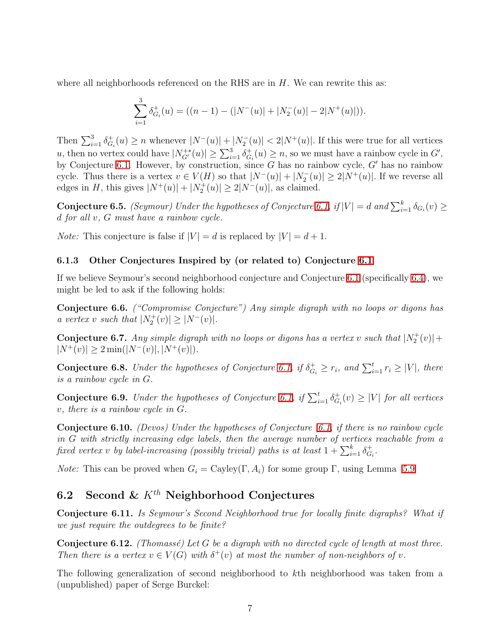where all neighborhoods referenced on the RHS are in  $H$ . We can rewrite this as:

$$
\sum_{i=1}^{3} \delta_{G_i}^+(u) = ((n-1) - (|N^-(u)| + |N_2^-(u)| - 2|N^+(u)|)).
$$

Then  $\sum_{i=1}^{3} \delta_G^+$  $\mathcal{F}_{G_i}(u) \geq n$  whenever  $|N^-(u)| + |N_2^-(u)| < 2|N^+(u)|$ . If this were true for all vertices u, then no vertex could have  $|N_{G'}^{+*}(u)| \ge \sum_{i=1}^3 \delta_G^+$  $\sigma_{G_i}^+(u) \geq n$ , so we must have a rainbow cycle in  $G'$ , by Conjecture [6.1.](#page-5-0) However, by construction, since G has no rainbow cycle,  $G'$  has no rainbow cycle. Thus there is a vertex  $v \in V(H)$  so that  $|N^-(u)| + |N_2^-(u)| \ge 2|N^+(u)|$ . If we reverse all edges in H, this gives  $|N^+(u)| + |N_2^+(u)| \ge 2|N^-(u)|$ , as claimed.

<span id="page-6-0"></span>**Conjecture 6.5.** *(Seymour) Under the hypotheses of Conjecture* [6.1,](#page-5-0)  $if |V| = d$  and  $\sum_{i=1}^{k} \delta_{G_i}(v) \ge$ d *for all* v*,* G *must have a rainbow cycle.*

*Note:* This conjecture is false if  $|V| = d$  is replaced by  $|V| = d + 1$ .

#### 6.1.3 Other Conjectures Inspired by (or related to) Conjecture [6.1](#page-5-0)

If we believe Seymour's second neighborhood conjecture and Conjecture [6.1](#page-5-0) (specifically [6.4\)](#page-5-1), we might be led to ask if the following holds:

Conjecture 6.6. *("Compromise Conjecture") Any simple digraph with no loops or digons has a* vertex *v* such that  $|N_2^+(v)| \ge |N^-(v)|$ .

**Conjecture 6.7.** Any simple digraph with no loops or digons has a vertex v such that  $|N_2^+(v)| +$  $|N^+(v)| \ge 2 \min(|N^-(v)|, |N^+(v)|)$ .

**Conjecture 6.8.** *Under the hypotheses of Conjecture* [6.1,](#page-5-0) if  $\delta_{G_i}^+ \geq r_i$ , and  $\sum_{i=1}^t r_i \geq |V|$ , there *is a rainbow cycle in* G*.*

**Conjecture 6.9.** *Under the hypotheses of Conjecture* [6.1,](#page-5-0) if  $\sum_{i=1}^{t} \delta_G^+$  $G_i^+(v) \geq |V|$  *for all vertices* v*, there is a rainbow cycle in* G*.*

Conjecture 6.10. *(Devos) Under the hypotheses of Conjecture [6.1,](#page-5-0) if there is no rainbow cycle in* G *with strictly increasing edge labels, then the average number of vertices reachable from a*  $\emph{fixed vertex $v$ by label-increasing (possibly trivial) paths is at least $1+\sum_{i=1}^k \delta_G^+$}$  $^+_{{G_i}^{\textstyle\cdot}}$ 

*Note:* This can be proved when  $G_i = \text{Cayley}(\Gamma, A_i)$  for some group  $\Gamma$ , using Lemma [5.9](#page-4-0)

## 6.2 Second &  $K^{th}$  Neighborhood Conjectures

Conjecture 6.11. *Is Seymour's Second Neighborhood true for locally finite digraphs? What if we just require the outdegrees to be finite?*

Conjecture 6.12. *(Thomass´e) Let* G *be a digraph with no directed cycle of length at most three. Then there is a vertex*  $v \in V(G)$  *with*  $\delta^+(v)$  *at most the number of non-neighbors of*  $v$ *.* 

The following generalization of second neighborhood to kth neighborhood was taken from a (unpublished) paper of Serge Burckel: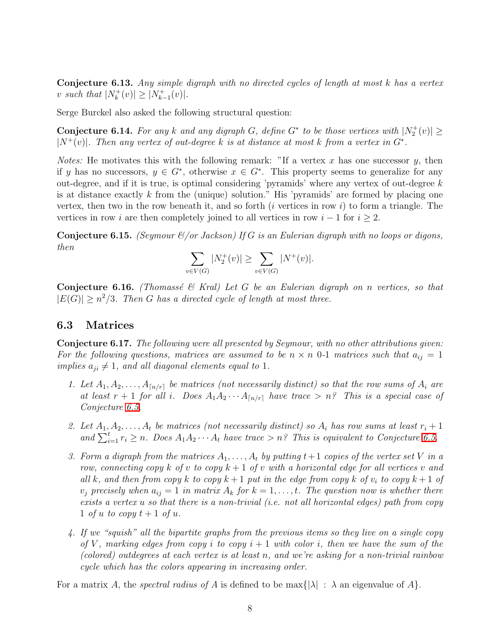Conjecture 6.13. *Any simple digraph with no directed cycles of length at most* k *has a vertex* v such that  $|N_k^+$  $|k^+(v)| \ge |N^+_{k^-}$  $|k-1}(v)|$ .

Serge Burckel also asked the following structural question:

**Conjecture 6.14.** For any k and any digraph G, define  $G^*$  to be those vertices with  $|N_2^+(v)| \ge$  $|N^+(v)|$ . Then any vertex of out-degree k is at distance at most k from a vertex in  $G^*$ .

*Notes:* He motivates this with the following remark: "If a vertex x has one successor y, then if y has no successors,  $y \in G^*$ , otherwise  $x \in G^*$ . This property seems to generalize for any out-degree, and if it is true, is optimal considering 'pyramids' where any vertex of out-degree  $k$ is at distance exactly  $k$  from the (unique) solution." His 'pyramids' are formed by placing one vertex, then two in the row beneath it, and so forth  $(i$  vertices in row  $i)$  to form a triangle. The vertices in row i are then completely joined to all vertices in row  $i - 1$  for  $i \geq 2$ .

Conjecture 6.15. *(Seymour &/or Jackson) If* G *is an Eulerian digraph with no loops or digons, then*

$$
\sum_{v \in V(G)} |N_2^+(v)| \ge \sum_{v \in V(G)} |N^+(v)|.
$$

Conjecture 6.16. *(Thomass´e & Kral) Let* G *be an Eulerian digraph on* n *vertices, so that*  $|E(G)| \geq n^2/3$ . Then G has a directed cycle of length at most three.

### 6.3 Matrices

Conjecture 6.17. *The following were all presented by Seymour, with no other attributions given:* For the following questions, matrices are assumed to be  $n \times n$  0-1 matrices such that  $a_{ij} = 1$ *implies*  $a_{ji} \neq 1$ *, and all diagonal elements equal to* 1*.* 

- 1. Let  $A_1, A_2, \ldots, A_{\lceil n/r \rceil}$  *be matrices (not necessarily distinct) so that the row sums of*  $A_i$  *are at least*  $r + 1$  *for all i*. Does  $A_1A_2 \cdots A_{\lfloor n/r \rfloor}$  *have trace*  $> n$ ? *This is a special case of Conjecture [6.5.](#page-6-0)*
- 2. Let  $A_1, A_2, \ldots, A_t$  be matrices (not necessarily distinct) so  $A_i$  has row sums at least  $r_i + 1$ and  $\sum_{i=1}^{t} r_i \geq n$ . Does  $A_1 A_2 \cdots A_t$  have trace  $\geq n$ ? This is equivalent to Conjecture [6.5.](#page-6-0)
- *3. Form a digraph from the matrices*  $A_1, \ldots, A_t$  *by putting*  $t+1$  *copies of the vertex set* V *in a row, connecting copy*  $k$  *of*  $v$  *to copy*  $k + 1$  *of*  $v$  *with a horizontal edge for all vertices*  $v$  *and all* k, and then from copy k to copy  $k+1$  put in the edge from copy k of  $v_i$  to copy  $k+1$  of  $v_j$  precisely when  $a_{ij} = 1$  in matrix  $A_k$  for  $k = 1, \ldots, t$ . The question now is whether there *exists a vertex* u *so that there is a non-trivial (i.e. not all horizontal edges) path from copy* 1 *of* u to copy  $t + 1$  *of* u.
- *4. If we "squish" all the bipartite graphs from the previous items so they live on a single copy of* V, marking edges from copy i to copy  $i + 1$  with color i, then we have the sum of the *(colored) outdegrees at each vertex is at least* n*, and we're asking for a non-trivial rainbow cycle which has the colors appearing in increasing order.*

For a matrix A, the *spectral radius of A* is defined to be  $\max\{|\lambda| : \lambda$  an eigenvalue of A.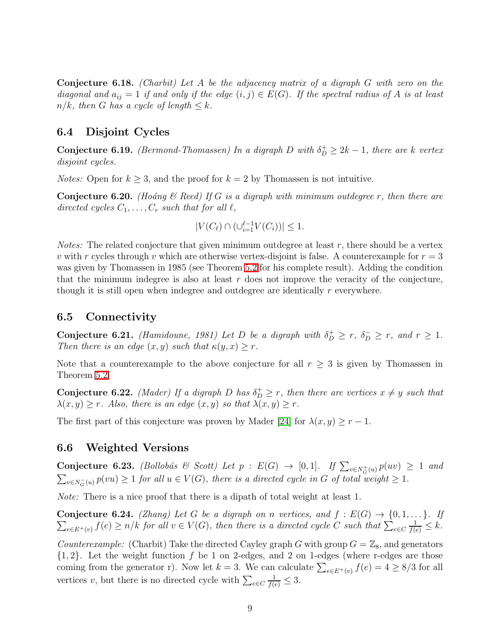Conjecture 6.18. *(Charbit) Let* A *be the adjacency matrix of a digraph* G *with zero on the diagonal and*  $a_{ij} = 1$  *if and only if the edge*  $(i, j) \in E(G)$ *. If the spectral radius of* A *is at least*  $n/k$ *, then* G has a cycle of length  $\leq k$ .

### <span id="page-8-1"></span>6.4 Disjoint Cycles

**Conjecture 6.19.** *(Bermond-Thomassen)* In a digraph D with  $\delta_D^+ \geq 2k - 1$ , there are k vertex *disjoint cycles.*

<span id="page-8-0"></span>*Notes:* Open for  $k \geq 3$ , and the proof for  $k = 2$  by Thomassen is not intuitive.

Conjecture 6.20. *(Ho´ang & Reed) If* G *is a digraph with minimum outdegree* r*, then there are directed cycles*  $C_1, \ldots, C_r$  *such that for all*  $\ell$ *,* 

$$
|V(C_{\ell}) \cap (\cup_{i=1}^{\ell-1} V(C_i))| \leq 1.
$$

*Notes:* The related conjecture that given minimum outdegree at least  $r$ , there should be a vertex v with r cycles through v which are otherwise vertex-disjoint is false. A counterexample for  $r = 3$ was given by Thomassen in 1985 (see Theorem [5.2](#page-3-1) for his complete result). Adding the condition that the minimum indegree is also at least  $r$  does not improve the veracity of the conjecture, though it is still open when indegree and outdegree are identically r everywhere.

## 6.5 Connectivity

**Conjecture 6.21.** *(Hamidoune, 1981)* Let D be a digraph with  $\delta_D^+ \ge r$ ,  $\delta_D^- \ge r$ , and  $r \ge 1$ . *Then there is an edge*  $(x, y)$  *such that*  $\kappa(y, x) \geq r$ *.* 

Note that a counterexample to the above conjecture for all  $r \geq 3$  is given by Thomassen in Theorem [5.2.](#page-3-1)

**Conjecture 6.22.** *(Mader)* If a digraph D has  $\delta_D^+ \ge r$ *, then there are vertices*  $x \neq y$  *such that*  $\lambda(x, y) \geq r$ *. Also, there is an edge*  $(x, y)$  *so that*  $\lambda(x, y) \geq r$ *.* 

The first part of this conjecture was proven by Mader [\[24\]](#page-13-9) for  $\lambda(x, y) \ge r - 1$ .

### 6.6 Weighted Versions

Conjecture 6.23. *(Bollobás & Scott) Let*  $p : E(G) \rightarrow [0,1]$ . If  $\sum_{v \in N_G^+(u)} p(uv) \ge 1$  and  $\sum_{v \in N_G^-(u)} p(vu) \ge 1$  *for all*  $u \in V(G)$ *, there is a directed cycle in* G *of total weight*  $\ge 1$ *.* 

*Note:* There is a nice proof that there is a dipath of total weight at least 1.

**Conjecture 6.24.** *(Zhang) Let*  $G$  *be a digraph on* n *vertices, and*  $f : E(G) \rightarrow \{0, 1, \ldots\}$ *. If*  $\sum_{e \in E^+(v)} f(e) \ge n/k$  for all  $v \in V(G)$ , then there is a directed cycle C such that  $\sum_{e \in C}$  $\frac{1}{f(e)} \leq k$ .

*Counterexample:* (Charbit) Take the directed Cayley graph G with group  $G = \mathbb{Z}_8$ , and generators  $\{1, 2\}$ . Let the weight function f be 1 on 2-edges, and 2 on 1-edges (where r-edges are those coming from the generator r). Now let  $k = 3$ . We can calculate  $\sum_{e \in E^+(v)} f(e) = 4 \ge 8/3$  for all vertices v, but there is no directed cycle with  $\sum_{e \in C}$  $\frac{1}{f(e)} \leq 3.$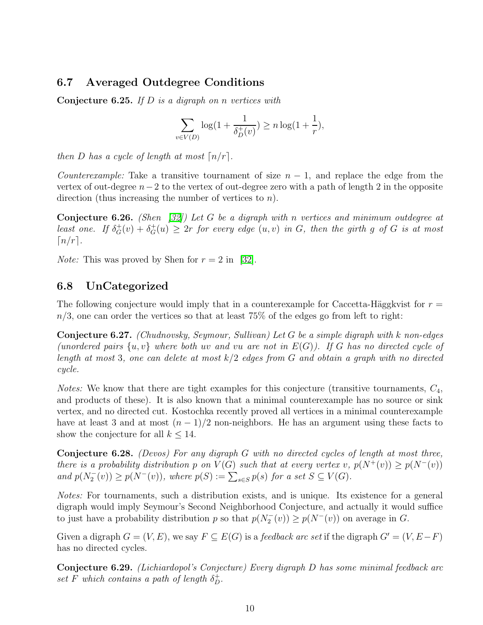## 6.7 Averaged Outdegree Conditions

Conjecture 6.25. *If* D *is a digraph on* n *vertices with*

$$
\sum_{v \in V(D)} \log(1 + \frac{1}{\delta_D^+(v)}) \ge n \log(1 + \frac{1}{r}),
$$

*then* D *has a cycle of length at most*  $\lceil n/r \rceil$ *.* 

*Counterexample:* Take a transitive tournament of size  $n - 1$ , and replace the edge from the vertex of out-degree  $n-2$  to the vertex of out-degree zero with a path of length 2 in the opposite direction (thus increasing the number of vertices to n).

Conjecture 6.26. *(Shen [\[32\]](#page-13-1)) Let* G *be a digraph with* n *vertices and minimum outdegree at least one.* If  $\delta_G^+(v) + \delta_G^+(u) \geq 2r$  for every edge  $(u, v)$  *in* G, then the girth g of G is at most  $\lceil n/r \rceil$ .

*Note:* This was proved by Shen for  $r = 2$  in [\[32\]](#page-13-1).

### 6.8 UnCategorized

The following conjecture would imply that in a counterexample for Caccetta-Häggkvist for  $r =$  $n/3$ , one can order the vertices so that at least 75% of the edges go from left to right:

Conjecture 6.27. *(Chudnovsky, Seymour, Sullivan) Let* G *be a simple digraph with* k *non-edges (unordered pairs*  $\{u, v\}$  *where both uv and vu are not in*  $E(G)$ *). If* G has no directed cycle of *length at most* 3*, one can delete at most* k/2 *edges from* G *and obtain a graph with no directed cycle.*

*Notes:* We know that there are tight examples for this conjecture (transitive tournaments,  $C_4$ , and products of these). It is also known that a minimal counterexample has no source or sink vertex, and no directed cut. Kostochka recently proved all vertices in a minimal counterexample have at least 3 and at most  $(n-1)/2$  non-neighbors. He has an argument using these facts to show the conjecture for all  $k \leq 14$ .

Conjecture 6.28. *(Devos) For any digraph* G *with no directed cycles of length at most three, there is a probability distribution* p *on*  $V(G)$  *such that at every vertex* v,  $p(N^+(v)) > p(N^-(v))$ *and*  $p(N_2^-(v)) \geq p(N^-(v))$ *, where*  $p(S) := \sum_{s \in S} p(s)$  *for a set*  $S \subseteq V(G)$ *.* 

*Notes:* For tournaments, such a distribution exists, and is unique. Its existence for a general digraph would imply Seymour's Second Neighborhood Conjecture, and actually it would suffice to just have a probability distribution p so that  $p(N_2^-(v)) \ge p(N^-(v))$  on average in G.

Given a digraph  $G = (V, E)$ , we say  $F \subseteq E(G)$  is a *feedback arc set* if the digraph  $G' = (V, E - F)$ has no directed cycles.

Conjecture 6.29. *(Lichiardopol's Conjecture) Every digraph* D *has some minimal feedback arc*  $set F$  *which contains a path of length*  $\delta_D^+$ .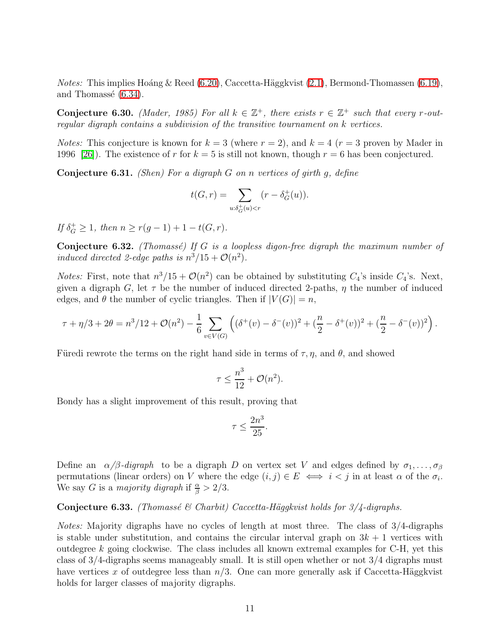*Notes:* This implies Hoáng & Reed [\(6.20\)](#page-8-0), Caccetta-Häggkvist [\(2.1\)](#page-1-0), Bermond-Thomassen [\(6.19\)](#page-8-1), and Thomassé  $(6.34)$ .

Conjecture 6.30. *(Mader, 1985) For all*  $k \in \mathbb{Z}^+$ , there exists  $r \in \mathbb{Z}^+$  such that every r-out*regular digraph contains a subdivision of the transitive tournament on* k *vertices.*

*Notes:* This conjecture is known for  $k = 3$  (where  $r = 2$ ), and  $k = 4$  ( $r = 3$  proven by Mader in 1996 [\[26\]](#page-13-10)). The existence of r for  $k = 5$  is still not known, though  $r = 6$  has been conjectured.

Conjecture 6.31. *(Shen) For a digraph* G *on* n *vertices of girth* g*, define*

$$
t(G,r) = \sum_{u: \delta_G^+(u) < r} (r - \delta_G^+(u)).
$$

*If*  $\delta_G^+ \geq 1$ *, then*  $n \geq r(g-1) + 1 - t(G, r)$ *.* 

Conjecture 6.32. *(Thomassé) If G is a loopless digon-free digraph the maximum number of induced directed 2-edge paths is*  $n^3/15 + \mathcal{O}(n^2)$ *.* 

*Notes:* First, note that  $n^3/15 + \mathcal{O}(n^2)$  can be obtained by substituting  $C_4$ 's inside  $C_4$ 's. Next, given a digraph G, let  $\tau$  be the number of induced directed 2-paths,  $\eta$  the number of induced edges, and  $\theta$  the number of cyclic triangles. Then if  $|V(G)| = n$ ,

$$
\tau + \eta/3 + 2\theta = n^3/12 + \mathcal{O}(n^2) - \frac{1}{6} \sum_{v \in V(G)} \left( (\delta^+(v) - \delta^-(v))^2 + \left(\frac{n}{2} - \delta^+(v)\right)^2 + \left(\frac{n}{2} - \delta^-(v)\right)^2 \right).
$$

Füredi rewrote the terms on the right hand side in terms of  $\tau$ ,  $\eta$ , and  $\theta$ , and showed

$$
\tau \le \frac{n^3}{12} + \mathcal{O}(n^2).
$$

Bondy has a slight improvement of this result, proving that

$$
\tau \le \frac{2n^3}{25}.
$$

Define an  $\alpha/\beta$ *-digraph* to be a digraph D on vertex set V and edges defined by  $\sigma_1, \ldots, \sigma_\beta$ permutations (linear orders) on V where the edge  $(i, j) \in E \iff i < j$  in at least  $\alpha$  of the  $\sigma_i$ . We say *G* is a *majority digraph* if  $\frac{\alpha}{\beta} > 2/3$ .

Conjecture 6.33. *(Thomassé & Charbit) Caccetta-Häggkvist holds for 3/4-digraphs.* 

<span id="page-10-0"></span>*Notes:* Majority digraphs have no cycles of length at most three. The class of 3/4-digraphs is stable under substitution, and contains the circular interval graph on  $3k + 1$  vertices with outdegree k going clockwise. The class includes all known extremal examples for  $C-H$ , yet this class of 3/4-digraphs seems manageably small. It is still open whether or not 3/4 digraphs must have vertices x of outdegree less than  $n/3$ . One can more generally ask if Caccetta-Häggkvist holds for larger classes of majority digraphs.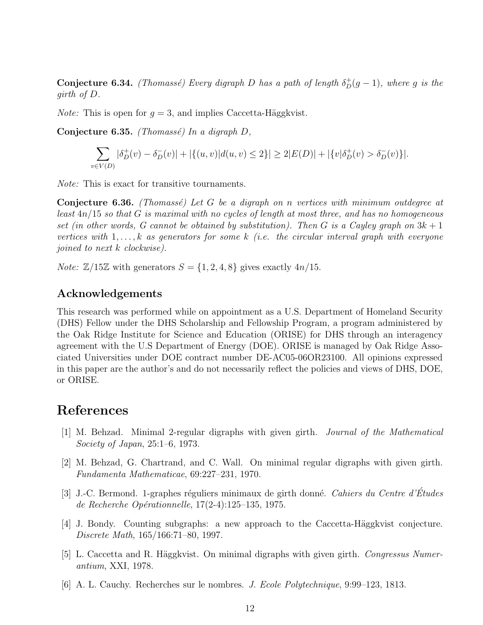**Conjecture 6.34.** *(Thomassé) Every digraph D has a path of length*  $\delta_D^+(g-1)$ *, where* g *is the girth of* D*.*

*Note:* This is open for  $q = 3$ , and implies Caccetta-Häggkvist.

Conjecture 6.35. *(Thomass´e) In a digraph* D*,*

$$
\sum_{v \in V(D)} |\delta_D^+(v) - \delta_D^-(v)| + |\{(u, v)|d(u, v) \le 2\}| \ge 2|E(D)| + |\{v|\delta_D^+(v) > \delta_D^-(v)\}|.
$$

*Note:* This is exact for transitive tournaments.

Conjecture 6.36. *(Thomass´e) Let* G *be a digraph on* n *vertices with minimum outdegree at least* 4n/15 *so that* G *is maximal with no cycles of length at most three, and has no homogeneous set (in other words, G cannot be obtained by substitution). Then* G *is a Cayley graph on* 3k + 1 *vertices with* 1, . . . , k *as generators for some* k *(i.e. the circular interval graph with everyone joined to next* k *clockwise).*

*Note:*  $\mathbb{Z}/15\mathbb{Z}$  with generators  $S = \{1, 2, 4, 8\}$  gives exactly  $4n/15$ .

#### Acknowledgements

This research was performed while on appointment as a U.S. Department of Homeland Security (DHS) Fellow under the DHS Scholarship and Fellowship Program, a program administered by the Oak Ridge Institute for Science and Education (ORISE) for DHS through an interagency agreement with the U.S Department of Energy (DOE). ORISE is managed by Oak Ridge Associated Universities under DOE contract number DE-AC05-06OR23100. All opinions expressed in this paper are the author's and do not necessarily reflect the policies and views of DHS, DOE, or ORISE.

## <span id="page-11-3"></span>References

- <span id="page-11-2"></span>[1] M. Behzad. Minimal 2-regular digraphs with given girth. *Journal of the Mathematical Society of Japan*, 25:1–6, 1973.
- [2] M. Behzad, G. Chartrand, and C. Wall. On minimal regular digraphs with given girth. *Fundamenta Mathematicae*, 69:227–231, 1970.
- <span id="page-11-4"></span>[3] J.-C. Bermond. 1-graphes r´eguliers minimaux de girth donn´e. *Cahiers du Centre d'Etudes ´ de Recherche Op´erationnelle*, 17(2-4):125–135, 1975.
- <span id="page-11-1"></span> $|4|$  J. Bondy. Counting subgraphs: a new approach to the Caccetta-Häggkvist conjecture. *Discrete Math*, 165/166:71–80, 1997.
- <span id="page-11-0"></span>[5] L. Caccetta and R. Häggkvist. On minimal digraphs with given girth. *Congressus Numerantium*, XXI, 1978.
- <span id="page-11-5"></span>[6] A. L. Cauchy. Recherches sur le nombres. *J. Ecole Polytechnique*, 9:99–123, 1813.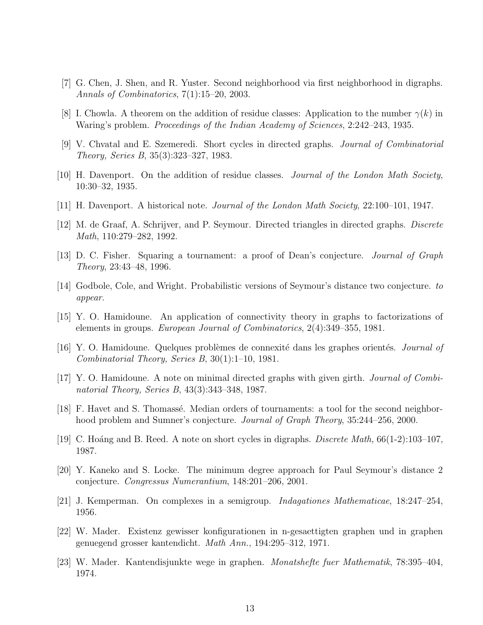- <span id="page-12-16"></span><span id="page-12-9"></span>[7] G. Chen, J. Shen, and R. Yuster. Second neighborhood via first neighborhood in digraphs. *Annals of Combinatorics*, 7(1):15–20, 2003.
- <span id="page-12-4"></span>[8] I. Chowla. A theorem on the addition of residue classes: Application to the number  $\gamma(k)$  in Waring's problem. *Proceedings of the Indian Academy of Sciences*, 2:242–243, 1935.
- [9] V. Chvatal and E. Szemeredi. Short cycles in directed graphs. *Journal of Combinatorial Theory, Series B*, 35(3):323–327, 1983.
- <span id="page-12-15"></span><span id="page-12-14"></span>[10] H. Davenport. On the addition of residue classes. *Journal of the London Math Society*, 10:30–32, 1935.
- <span id="page-12-5"></span>[11] H. Davenport. A historical note. *Journal of the London Math Society*, 22:100–101, 1947.
- <span id="page-12-6"></span>[12] M. de Graaf, A. Schrijver, and P. Seymour. Directed triangles in directed graphs. *Discrete Math*, 110:279–282, 1992.
- <span id="page-12-10"></span>[13] D. C. Fisher. Squaring a tournament: a proof of Dean's conjecture. *Journal of Graph Theory*, 23:43–48, 1996.
- <span id="page-12-2"></span>[14] Godbole, Cole, and Wright. Probabilistic versions of Seymour's distance two conjecture. *to appear*.
- [15] Y. O. Hamidoune. An application of connectivity theory in graphs to factorizations of elements in groups. *European Journal of Combinatorics*, 2(4):349–355, 1981.
- <span id="page-12-11"></span>[16] Y. O. Hamidoune. Quelques problèmes de connexité dans les graphes orientés. *Journal of Combinatorial Theory, Series B*, 30(1):1–10, 1981.
- <span id="page-12-7"></span><span id="page-12-0"></span>[17] Y. O. Hamidoune. A note on minimal directed graphs with given girth. *Journal of Combinatorial Theory, Series B*, 43(3):343–348, 1987.
- <span id="page-12-1"></span>[18] F. Havet and S. Thomassé. Median orders of tournaments: a tool for the second neighborhood problem and Sumner's conjecture. *Journal of Graph Theory*, 35:244–256, 2000.
- <span id="page-12-8"></span>[19] C. Ho´ang and B. Reed. A note on short cycles in digraphs. *Discrete Math*, 66(1-2):103–107, 1987.
- <span id="page-12-3"></span>[20] Y. Kaneko and S. Locke. The minimum degree approach for Paul Seymour's distance 2 conjecture. *Congressus Numerantium*, 148:201–206, 2001.
- <span id="page-12-12"></span>[21] J. Kemperman. On complexes in a semigroup. *Indagationes Mathematicae*, 18:247–254, 1956.
- [22] W. Mader. Existenz gewisser konfigurationen in n-gesaettigten graphen und in graphen genuegend grosser kantendicht. *Math Ann.*, 194:295–312, 1971.
- <span id="page-12-13"></span>[23] W. Mader. Kantendisjunkte wege in graphen. *Monatshefte fuer Mathematik*, 78:395–404, 1974.